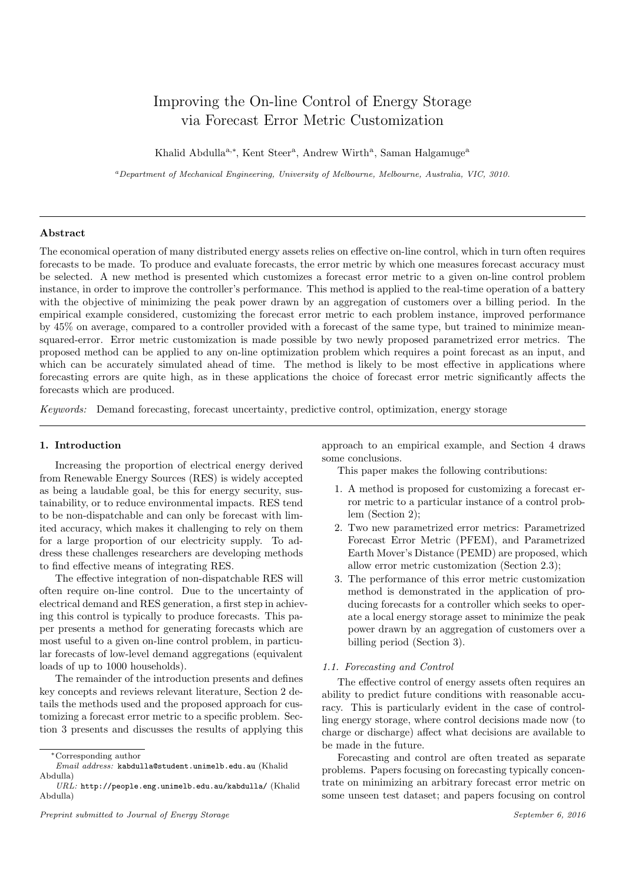# <span id="page-0-0"></span>Improving the On-line Control of Energy Storage via Forecast Error Metric Customization

Khalid Abdulla<sup>a,∗</sup>, Kent Steer<sup>a</sup>, Andrew Wirth<sup>a</sup>, Saman Halgamuge<sup>a</sup>

<sup>a</sup>Department of Mechanical Engineering, University of Melbourne, Melbourne, Australia, VIC, 3010.

#### Abstract

The economical operation of many distributed energy assets relies on effective on-line control, which in turn often requires forecasts to be made. To produce and evaluate forecasts, the error metric by which one measures forecast accuracy must be selected. A new method is presented which customizes a forecast error metric to a given on-line control problem instance, in order to improve the controller's performance. This method is applied to the real-time operation of a battery with the objective of minimizing the peak power drawn by an aggregation of customers over a billing period. In the empirical example considered, customizing the forecast error metric to each problem instance, improved performance by 45% on average, compared to a controller provided with a forecast of the same type, but trained to minimize meansquared-error. Error metric customization is made possible by two newly proposed parametrized error metrics. The proposed method can be applied to any on-line optimization problem which requires a point forecast as an input, and which can be accurately simulated ahead of time. The method is likely to be most effective in applications where forecasting errors are quite high, as in these applications the choice of forecast error metric significantly affects the forecasts which are produced.

Keywords: Demand forecasting, forecast uncertainty, predictive control, optimization, energy storage

## 1. Introduction

Increasing the proportion of electrical energy derived from Renewable Energy Sources (RES) is widely accepted as being a laudable goal, be this for energy security, sustainability, or to reduce environmental impacts. RES tend to be non-dispatchable and can only be forecast with limited accuracy, which makes it challenging to rely on them for a large proportion of our electricity supply. To address these challenges researchers are developing methods to find effective means of integrating RES.

The effective integration of non-dispatchable RES will often require on-line control. Due to the uncertainty of electrical demand and RES generation, a first step in achieving this control is typically to produce forecasts. This paper presents a method for generating forecasts which are most useful to a given on-line control problem, in particular forecasts of low-level demand aggregations (equivalent loads of up to 1000 households).

The remainder of the introduction presents and defines key concepts and reviews relevant literature, Section [2](#page-2-0) details the methods used and the proposed approach for customizing a forecast error metric to a specific problem. Section [3](#page-6-0) presents and discusses the results of applying this approach to an empirical example, and Section [4](#page-8-0) draws some conclusions.

This paper makes the following contributions:

- 1. A method is proposed for customizing a forecast error metric to a particular instance of a control problem (Section [2\)](#page-2-0);
- 2. Two new parametrized error metrics: Parametrized Forecast Error Metric (PFEM), and Parametrized Earth Mover's Distance (PEMD) are proposed, which allow error metric customization (Section [2.3\)](#page-3-0);
- 3. The performance of this error metric customization method is demonstrated in the application of producing forecasts for a controller which seeks to operate a local energy storage asset to minimize the peak power drawn by an aggregation of customers over a billing period (Section [3\)](#page-6-0).

#### 1.1. Forecasting and Control

The effective control of energy assets often requires an ability to predict future conditions with reasonable accuracy. This is particularly evident in the case of controlling energy storage, where control decisions made now (to charge or discharge) affect what decisions are available to be made in the future.

Forecasting and control are often treated as separate problems. Papers focusing on forecasting typically concentrate on minimizing an arbitrary forecast error metric on some unseen test dataset; and papers focusing on control

<sup>∗</sup>Corresponding author

Email address: kabdulla@student.unimelb.edu.au (Khalid Abdulla)

URL: http://people.eng.unimelb.edu.au/kabdulla/ (Khalid Abdulla)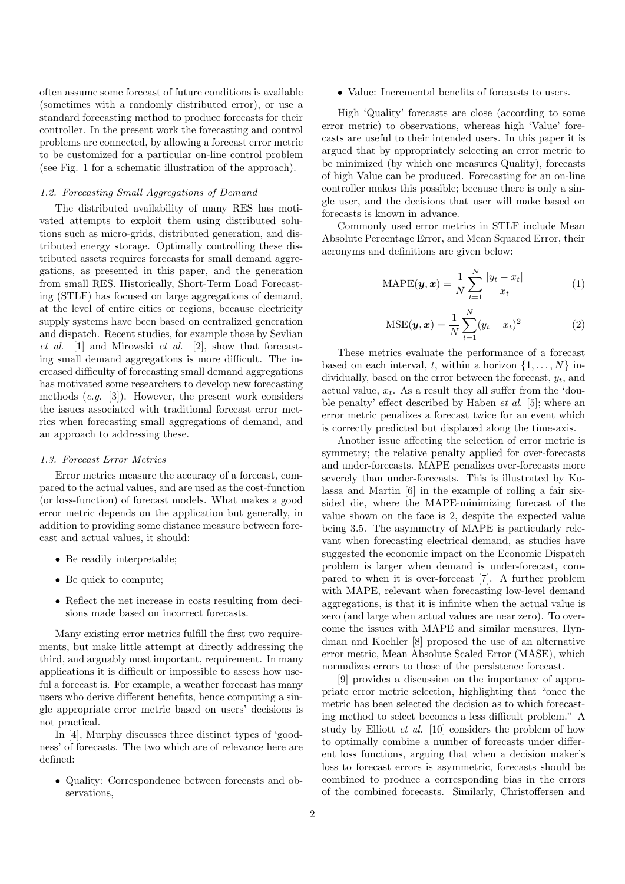often assume some forecast of future conditions is available (sometimes with a randomly distributed error), or use a standard forecasting method to produce forecasts for their controller. In the present work the forecasting and control problems are connected, by allowing a forecast error metric to be customized for a particular on-line control problem (see Fig. [1](#page-2-1) for a schematic illustration of the approach).

#### 1.2. Forecasting Small Aggregations of Demand

The distributed availability of many RES has motivated attempts to exploit them using distributed solutions such as micro-grids, distributed generation, and distributed energy storage. Optimally controlling these distributed assets requires forecasts for small demand aggregations, as presented in this paper, and the generation from small RES. Historically, Short-Term Load Forecasting (STLF) has focused on large aggregations of demand, at the level of entire cities or regions, because electricity supply systems have been based on centralized generation and dispatch. Recent studies, for example those by Sevlian et al. [\[1\]](#page-9-0) and Mirowski et al. [\[2\]](#page-9-1), show that forecasting small demand aggregations is more difficult. The increased difficulty of forecasting small demand aggregations has motivated some researchers to develop new forecasting methods (e.g. [\[3\]](#page-9-2)). However, the present work considers the issues associated with traditional forecast error metrics when forecasting small aggregations of demand, and an approach to addressing these.

## <span id="page-1-0"></span>1.3. Forecast Error Metrics

Error metrics measure the accuracy of a forecast, compared to the actual values, and are used as the cost-function (or loss-function) of forecast models. What makes a good error metric depends on the application but generally, in addition to providing some distance measure between forecast and actual values, it should:

- Be readily interpretable:
- Be quick to compute;
- Reflect the net increase in costs resulting from decisions made based on incorrect forecasts.

Many existing error metrics fulfill the first two requirements, but make little attempt at directly addressing the third, and arguably most important, requirement. In many applications it is difficult or impossible to assess how useful a forecast is. For example, a weather forecast has many users who derive different benefits, hence computing a single appropriate error metric based on users' decisions is not practical.

In [\[4\]](#page-9-3), Murphy discusses three distinct types of 'goodness' of forecasts. The two which are of relevance here are defined:

• Quality: Correspondence between forecasts and observations,

• Value: Incremental benefits of forecasts to users.

High 'Quality' forecasts are close (according to some error metric) to observations, whereas high 'Value' forecasts are useful to their intended users. In this paper it is argued that by appropriately selecting an error metric to be minimized (by which one measures Quality), forecasts of high Value can be produced. Forecasting for an on-line controller makes this possible; because there is only a single user, and the decisions that user will make based on forecasts is known in advance.

Commonly used error metrics in STLF include Mean Absolute Percentage Error, and Mean Squared Error, their acronyms and definitions are given below:

$$
\text{MAPE}(\boldsymbol{y}, \boldsymbol{x}) = \frac{1}{N} \sum_{t=1}^{N} \frac{|y_t - x_t|}{x_t}
$$
(1)

$$
\text{MSE}(\boldsymbol{y}, \boldsymbol{x}) = \frac{1}{N} \sum_{t=1}^{N} (y_t - x_t)^2
$$
 (2)

These metrics evaluate the performance of a forecast based on each interval, t, within a horizon  $\{1, \ldots, N\}$  individually, based on the error between the forecast,  $y_t$ , and actual value,  $x_t$ . As a result they all suffer from the 'double penalty' effect described by Haben et al. [\[5\]](#page-9-4); where an error metric penalizes a forecast twice for an event which is correctly predicted but displaced along the time-axis.

Another issue affecting the selection of error metric is symmetry; the relative penalty applied for over-forecasts and under-forecasts. MAPE penalizes over-forecasts more severely than under-forecasts. This is illustrated by Kolassa and Martin [\[6\]](#page-9-5) in the example of rolling a fair sixsided die, where the MAPE-minimizing forecast of the value shown on the face is 2, despite the expected value being 3.5. The asymmetry of MAPE is particularly relevant when forecasting electrical demand, as studies have suggested the economic impact on the Economic Dispatch problem is larger when demand is under-forecast, compared to when it is over-forecast [\[7\]](#page-9-6). A further problem with MAPE, relevant when forecasting low-level demand aggregations, is that it is infinite when the actual value is zero (and large when actual values are near zero). To overcome the issues with MAPE and similar measures, Hyndman and Koehler [\[8\]](#page-9-7) proposed the use of an alternative error metric, Mean Absolute Scaled Error (MASE), which normalizes errors to those of the persistence forecast.

[\[9\]](#page-9-8) provides a discussion on the importance of appropriate error metric selection, highlighting that "once the metric has been selected the decision as to which forecasting method to select becomes a less difficult problem." A study by Elliott et al. [\[10\]](#page-9-9) considers the problem of how to optimally combine a number of forecasts under different loss functions, arguing that when a decision maker's loss to forecast errors is asymmetric, forecasts should be combined to produce a corresponding bias in the errors of the combined forecasts. Similarly, Christoffersen and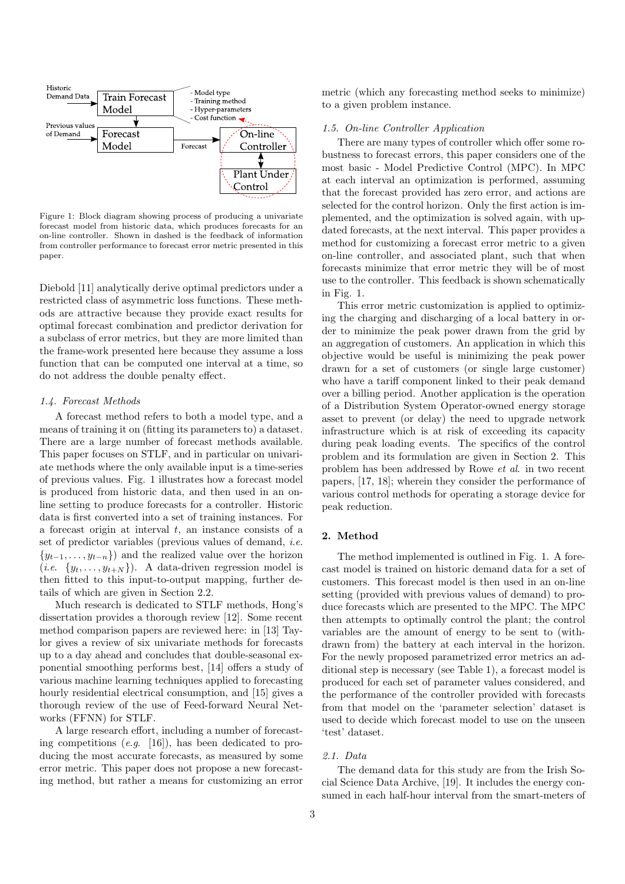

<span id="page-2-1"></span>Figure 1: Block diagram showing process of producing a univariate forecast model from historic data, which produces forecasts for an on-line controller. Shown in dashed is the feedback of information from controller performance to forecast error metric presented in this paper.

Diebold [\[11\]](#page-9-10) analytically derive optimal predictors under a restricted class of asymmetric loss functions. These methods are attractive because they provide exact results for optimal forecast combination and predictor derivation for a subclass of error metrics, but they are more limited than the frame-work presented here because they assume a loss function that can be computed one interval at a time, so do not address the double penalty effect.

## 1.4. Forecast Methods

A forecast method refers to both a model type, and a means of training it on (fitting its parameters to) a dataset. There are a large number of forecast methods available. This paper focuses on STLF, and in particular on univariate methods where the only available input is a time-series of previous values. Fig. [1](#page-2-1) illustrates how a forecast model is produced from historic data, and then used in an online setting to produce forecasts for a controller. Historic data is first converted into a set of training instances. For a forecast origin at interval  $t$ , an instance consists of a set of predictor variables (previous values of demand, *i.e.*  $\{y_{t-1}, \ldots, y_{t-n}\}\)$  and the realized value over the horizon (*i.e.*  $\{y_t, \ldots, y_{t+N}\}\)$ . A data-driven regression model is then fitted to this input-to-output mapping, further details of which are given in Section [2.2.](#page-3-1)

Much research is dedicated to STLF methods, Hong's dissertation provides a thorough review [\[12\]](#page-9-11). Some recent method comparison papers are reviewed here: in [\[13\]](#page-9-12) Taylor gives a review of six univariate methods for forecasts up to a day ahead and concludes that double-seasonal exponential smoothing performs best, [\[14\]](#page-9-13) offers a study of various machine learning techniques applied to forecasting hourly residential electrical consumption, and [\[15\]](#page-9-14) gives a thorough review of the use of Feed-forward Neural Networks (FFNN) for STLF.

A large research effort, including a number of forecasting competitions  $(e,q, [16])$  $(e,q, [16])$  $(e,q, [16])$ , has been dedicated to producing the most accurate forecasts, as measured by some error metric. This paper does not propose a new forecasting method, but rather a means for customizing an error

metric (which any forecasting method seeks to minimize) to a given problem instance.

#### 1.5. On-line Controller Application

There are many types of controller which offer some robustness to forecast errors, this paper considers one of the most basic - Model Predictive Control (MPC). In MPC at each interval an optimization is performed, assuming that the forecast provided has zero error, and actions are selected for the control horizon. Only the first action is implemented, and the optimization is solved again, with updated forecasts, at the next interval. This paper provides a method for customizing a forecast error metric to a given on-line controller, and associated plant, such that when forecasts minimize that error metric they will be of most use to the controller. This feedback is shown schematically in Fig. [1.](#page-2-1)

This error metric customization is applied to optimizing the charging and discharging of a local battery in order to minimize the peak power drawn from the grid by an aggregation of customers. An application in which this objective would be useful is minimizing the peak power drawn for a set of customers (or single large customer) who have a tariff component linked to their peak demand over a billing period. Another application is the operation of a Distribution System Operator-owned energy storage asset to prevent (or delay) the need to upgrade network infrastructure which is at risk of exceeding its capacity during peak loading events. The specifics of the control problem and its formulation are given in Section [2.](#page-2-0) This problem has been addressed by Rowe et al. in two recent papers, [\[17,](#page-9-16) [18\]](#page-9-17); wherein they consider the performance of various control methods for operating a storage device for peak reduction.

# <span id="page-2-0"></span>2. Method

The method implemented is outlined in Fig. [1.](#page-2-1) A forecast model is trained on historic demand data for a set of customers. This forecast model is then used in an on-line setting (provided with previous values of demand) to produce forecasts which are presented to the MPC. The MPC then attempts to optimally control the plant; the control variables are the amount of energy to be sent to (withdrawn from) the battery at each interval in the horizon. For the newly proposed parametrized error metrics an additional step is necessary (see Table [1\)](#page-3-2), a forecast model is produced for each set of parameter values considered, and the performance of the controller provided with forecasts from that model on the 'parameter selection' dataset is used to decide which forecast model to use on the unseen 'test' dataset.

## 2.1. Data

The demand data for this study are from the Irish Social Science Data Archive, [\[19\]](#page-9-18). It includes the energy consumed in each half-hour interval from the smart-meters of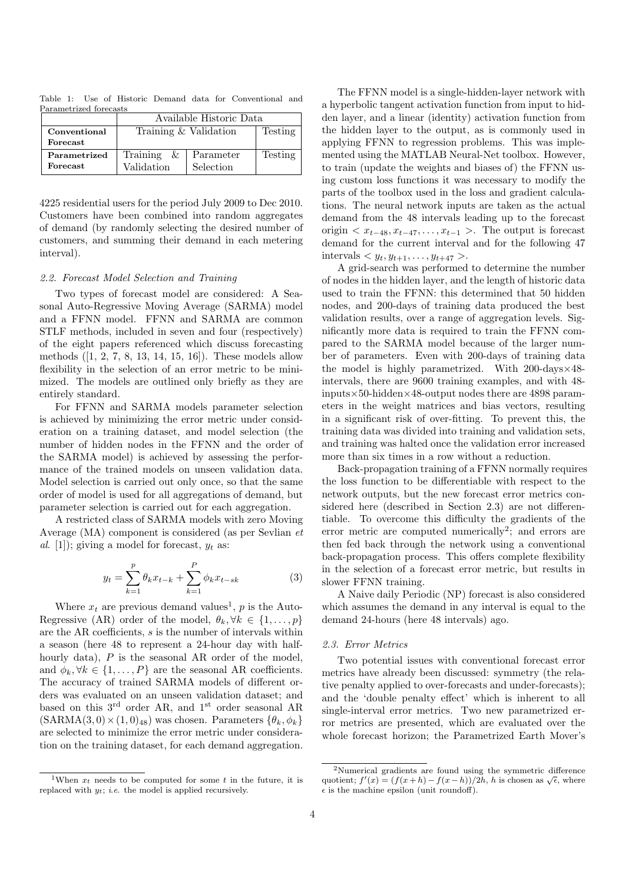<span id="page-3-2"></span>Table 1: Use of Historic Demand data for Conventional and Parametrized forecasts

|              | Available Historic Data |           |         |  |  |
|--------------|-------------------------|-----------|---------|--|--|
| Conventional | Training & Validation   | Testing   |         |  |  |
| Forecast     |                         |           |         |  |  |
| Parametrized | Training $\&$           | Parameter | Testing |  |  |
| Forecast     | Validation              | Selection |         |  |  |

4225 residential users for the period July 2009 to Dec 2010. Customers have been combined into random aggregates of demand (by randomly selecting the desired number of customers, and summing their demand in each metering interval).

## <span id="page-3-1"></span>2.2. Forecast Model Selection and Training

Two types of forecast model are considered: A Seasonal Auto-Regressive Moving Average (SARMA) model and a FFNN model. FFNN and SARMA are common STLF methods, included in seven and four (respectively) of the eight papers referenced which discuss forecasting methods ([\[1,](#page-9-0) [2,](#page-9-1) [7,](#page-9-6) [8,](#page-9-7) [13,](#page-9-12) [14,](#page-9-13) [15,](#page-9-14) [16\]](#page-9-15)). These models allow flexibility in the selection of an error metric to be minimized. The models are outlined only briefly as they are entirely standard.

For FFNN and SARMA models parameter selection is achieved by minimizing the error metric under consideration on a training dataset, and model selection (the number of hidden nodes in the FFNN and the order of the SARMA model) is achieved by assessing the performance of the trained models on unseen validation data. Model selection is carried out only once, so that the same order of model is used for all aggregations of demand, but parameter selection is carried out for each aggregation.

A restricted class of SARMA models with zero Moving Average (MA) component is considered (as per Sevlian et al. [\[1\]](#page-9-0)); giving a model for forecast,  $y_t$  as:

$$
y_t = \sum_{k=1}^p \theta_k x_{t-k} + \sum_{k=1}^P \phi_k x_{t-sk} \tag{3}
$$

Where  $x_t$  are previous demand values<sup>[1](#page-3-3)</sup>, p is the Auto-Regressive (AR) order of the model,  $\theta_k, \forall k \in \{1, \ldots, p\}$ are the AR coefficients, s is the number of intervals within a season (here 48 to represent a 24-hour day with halfhourly data), P is the seasonal AR order of the model, and  $\phi_k, \forall k \in \{1, \ldots, P\}$  are the seasonal AR coefficients. The accuracy of trained SARMA models of different orders was evaluated on an unseen validation dataset; and based on this 3<sup>rd</sup> order AR, and 1<sup>st</sup> order seasonal AR  $(SARMA(3,0) \times (1, 0)_{48})$  was chosen. Parameters  $\{\theta_k, \phi_k\}$ are selected to minimize the error metric under consideration on the training dataset, for each demand aggregation.

The FFNN model is a single-hidden-layer network with a hyperbolic tangent activation function from input to hidden layer, and a linear (identity) activation function from the hidden layer to the output, as is commonly used in applying FFNN to regression problems. This was implemented using the MATLAB Neural-Net toolbox. However, to train (update the weights and biases of) the FFNN using custom loss functions it was necessary to modify the parts of the toolbox used in the loss and gradient calculations. The neural network inputs are taken as the actual demand from the 48 intervals leading up to the forecast origin  $\langle x_{t-48}, x_{t-47}, \ldots, x_{t-1} \rangle$ . The output is forecast demand for the current interval and for the following 47 intervals  $y_t, y_{t+1}, \ldots, y_{t+47} >$ .

A grid-search was performed to determine the number of nodes in the hidden layer, and the length of historic data used to train the FFNN: this determined that 50 hidden nodes, and 200-days of training data produced the best validation results, over a range of aggregation levels. Significantly more data is required to train the FFNN compared to the SARMA model because of the larger number of parameters. Even with 200-days of training data the model is highly parametrized. With  $200$ -days $\times$ 48intervals, there are 9600 training examples, and with 48 inputs $\times$ 50-hidden $\times$ 48-output nodes there are 4898 parameters in the weight matrices and bias vectors, resulting in a significant risk of over-fitting. To prevent this, the training data was divided into training and validation sets, and training was halted once the validation error increased more than six times in a row without a reduction.

Back-propagation training of a FFNN normally requires the loss function to be differentiable with respect to the network outputs, but the new forecast error metrics considered here (described in Section [2.3\)](#page-3-0) are not differentiable. To overcome this difficulty the gradients of the error metric are computed numerically<sup>[2](#page-3-4)</sup>; and errors are then fed back through the network using a conventional back-propagation process. This offers complete flexibility in the selection of a forecast error metric, but results in slower FFNN training.

A Naive daily Periodic (NP) forecast is also considered which assumes the demand in any interval is equal to the demand 24-hours (here 48 intervals) ago.

## <span id="page-3-0"></span>2.3. Error Metrics

Two potential issues with conventional forecast error metrics have already been discussed: symmetry (the relative penalty applied to over-forecasts and under-forecasts); and the 'double penalty effect' which is inherent to all single-interval error metrics. Two new parametrized error metrics are presented, which are evaluated over the whole forecast horizon; the Parametrized Earth Mover's

<span id="page-3-3"></span><sup>&</sup>lt;sup>1</sup>When  $x_t$  needs to be computed for some t in the future, it is replaced with  $y_t$ ; *i.e.* the model is applied recursively.

<span id="page-3-4"></span><sup>2</sup>Numerical gradients are found using the symmetric difference Numerical gradients are found using the symmetric difference<br>quotient;  $f'(x) = (f(x+h) - f(x-h))/2h$ , h is chosen as  $\sqrt{\epsilon}$ , where  $\epsilon$  is the machine epsilon (unit roundoff).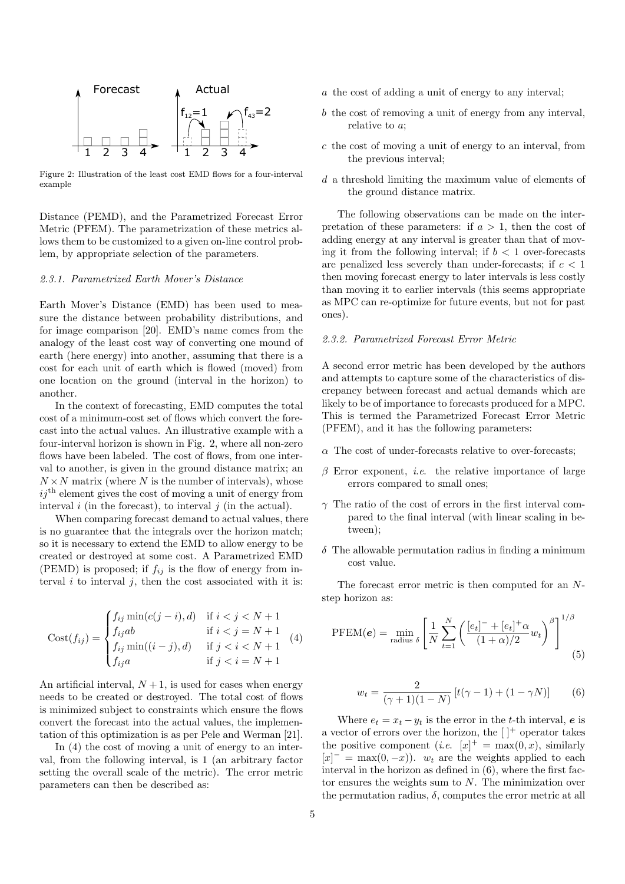

<span id="page-4-0"></span>Figure 2: Illustration of the least cost EMD flows for a four-interval example

Distance (PEMD), and the Parametrized Forecast Error Metric (PFEM). The parametrization of these metrics allows them to be customized to a given on-line control problem, by appropriate selection of the parameters.

## 2.3.1. Parametrized Earth Mover's Distance

Earth Mover's Distance (EMD) has been used to measure the distance between probability distributions, and for image comparison [\[20\]](#page-9-19). EMD's name comes from the analogy of the least cost way of converting one mound of earth (here energy) into another, assuming that there is a cost for each unit of earth which is flowed (moved) from one location on the ground (interval in the horizon) to another.

In the context of forecasting, EMD computes the total cost of a minimum-cost set of flows which convert the forecast into the actual values. An illustrative example with a four-interval horizon is shown in Fig. [2,](#page-4-0) where all non-zero flows have been labeled. The cost of flows, from one interval to another, is given in the ground distance matrix; an  $N \times N$  matrix (where N is the number of intervals), whose  $ij<sup>th</sup>$  element gives the cost of moving a unit of energy from interval  $i$  (in the forecast), to interval  $j$  (in the actual).

When comparing forecast demand to actual values, there is no guarantee that the integrals over the horizon match; so it is necessary to extend the EMD to allow energy to be created or destroyed at some cost. A Parametrized EMD (PEMD) is proposed; if  $f_{ij}$  is the flow of energy from interval  $i$  to interval  $j$ , then the cost associated with it is:

<span id="page-4-1"></span>
$$
Cost(f_{ij}) = \begin{cases} f_{ij} \min(c(j-i), d) & \text{if } i < j < N+1 \\ f_{ij}ab & \text{if } i < j = N+1 \\ f_{ij} \min((i-j), d) & \text{if } j < i < N+1 \\ f_{ij}a & \text{if } j < i = N+1 \end{cases} \tag{4}
$$

An artificial interval,  $N + 1$ , is used for cases when energy needs to be created or destroyed. The total cost of flows is minimized subject to constraints which ensure the flows convert the forecast into the actual values, the implementation of this optimization is as per Pele and Werman [\[21\]](#page-9-20).

In [\(4\)](#page-4-1) the cost of moving a unit of energy to an interval, from the following interval, is 1 (an arbitrary factor setting the overall scale of the metric). The error metric parameters can then be described as:

- a the cost of adding a unit of energy to any interval;
- b the cost of removing a unit of energy from any interval, relative to a;
- c the cost of moving a unit of energy to an interval, from the previous interval;
- d a threshold limiting the maximum value of elements of the ground distance matrix.

The following observations can be made on the interpretation of these parameters: if  $a > 1$ , then the cost of adding energy at any interval is greater than that of moving it from the following interval; if  $b < 1$  over-forecasts are penalized less severely than under-forecasts; if  $c < 1$ then moving forecast energy to later intervals is less costly than moving it to earlier intervals (this seems appropriate as MPC can re-optimize for future events, but not for past ones).

# 2.3.2. Parametrized Forecast Error Metric

A second error metric has been developed by the authors and attempts to capture some of the characteristics of discrepancy between forecast and actual demands which are likely to be of importance to forecasts produced for a MPC. This is termed the Parametrized Forecast Error Metric (PFEM), and it has the following parameters:

- $\alpha$  The cost of under-forecasts relative to over-forecasts;
- $\beta$  Error exponent, *i.e.* the relative importance of large errors compared to small ones;
- $\gamma$  The ratio of the cost of errors in the first interval compared to the final interval (with linear scaling in between);
- $\delta$  The allowable permutation radius in finding a minimum cost value.

The forecast error metric is then computed for an Nstep horizon as:

$$
PFEM(e) = \min_{\text{radius } \delta} \left[ \frac{1}{N} \sum_{t=1}^{N} \left( \frac{[e_t]^{-} + [e_t]^{+} \alpha}{(1 + \alpha)/2} w_t \right)^{\beta} \right]^{1/\beta}
$$
(5)

<span id="page-4-2"></span>
$$
w_t = \frac{2}{(\gamma + 1)(1 - N)} \left[ t(\gamma - 1) + (1 - \gamma N) \right] \tag{6}
$$

Where  $e_t = x_t - y_t$  is the error in the t-th interval,  $e$  is a vector of errors over the horizon, the  $\lceil \cdot \rceil^+$  operator takes the positive component (*i.e.*  $[x]^+ = \max(0, x)$ , similarly  $[x]^- = \max(0, -x)$ .  $w_t$  are the weights applied to each interval in the horizon as defined in [\(6\)](#page-4-2), where the first factor ensures the weights sum to  $N$ . The minimization over the permutation radius,  $\delta$ , computes the error metric at all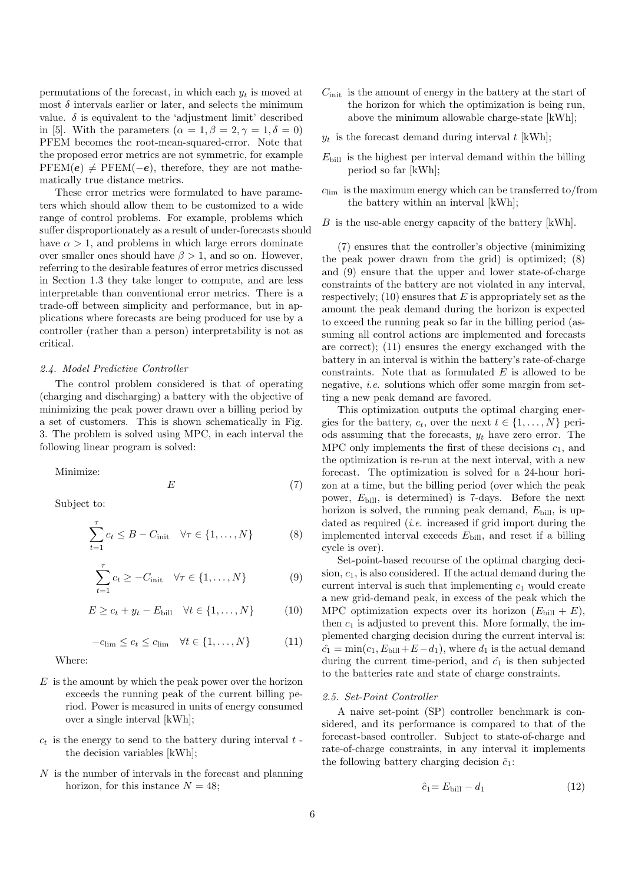permutations of the forecast, in which each  $y_t$  is moved at most  $\delta$  intervals earlier or later, and selects the minimum value.  $\delta$  is equivalent to the 'adjustment limit' described in [\[5\]](#page-9-4). With the parameters  $(\alpha = 1, \beta = 2, \gamma = 1, \delta = 0)$ PFEM becomes the root-mean-squared-error. Note that the proposed error metrics are not symmetric, for example  $PFEM(e) \neq PFEM(-e)$ , therefore, they are not mathematically true distance metrics.

These error metrics were formulated to have parameters which should allow them to be customized to a wide range of control problems. For example, problems which suffer disproportionately as a result of under-forecasts should have  $\alpha > 1$ , and problems in which large errors dominate over smaller ones should have  $\beta > 1$ , and so on. However, referring to the desirable features of error metrics discussed in Section [1.3](#page-1-0) they take longer to compute, and are less interpretable than conventional error metrics. There is a trade-off between simplicity and performance, but in applications where forecasts are being produced for use by a controller (rather than a person) interpretability is not as critical.

# 2.4. Model Predictive Controller

The control problem considered is that of operating (charging and discharging) a battery with the objective of minimizing the peak power drawn over a billing period by a set of customers. This is shown schematically in Fig. [3.](#page-6-1) The problem is solved using MPC, in each interval the following linear program is solved:

<span id="page-5-0"></span>Minimize:

$$
E \tag{7}
$$

Subject to:

<span id="page-5-1"></span>
$$
\sum_{t=1}^{\tau} c_t \le B - C_{\text{init}} \quad \forall \tau \in \{1, \dots, N\}
$$
 (8)

<span id="page-5-2"></span>
$$
\sum_{t=1}^{\tau} c_t \ge -C_{\text{init}} \quad \forall \tau \in \{1, \dots, N\}
$$
 (9)

<span id="page-5-3"></span>
$$
E \ge c_t + y_t - E_{\text{bill}} \quad \forall t \in \{1, ..., N\} \tag{10}
$$

$$
-c_{\lim} \le c_t \le c_{\lim} \quad \forall t \in \{1, \dots, N\} \tag{11}
$$

<span id="page-5-4"></span>Where:

- $E$  is the amount by which the peak power over the horizon exceeds the running peak of the current billing period. Power is measured in units of energy consumed over a single interval [kWh];
- $c_t$  is the energy to send to the battery during interval  $t$ . the decision variables [kWh];
- $N$  is the number of intervals in the forecast and planning horizon, for this instance  $N = 48$ ;
- $C_{\text{init}}$  is the amount of energy in the battery at the start of the horizon for which the optimization is being run, above the minimum allowable charge-state [kWh];
- $y_t$  is the forecast demand during interval t [kWh];
- $E<sub>bill</sub>$  is the highest per interval demand within the billing period so far [kWh];
- $c_{\text{lim}}$  is the maximum energy which can be transferred to/from the battery within an interval [kWh];
- $B$  is the use-able energy capacity of the battery  $[kWh]$ .

[\(7\)](#page-5-0) ensures that the controller's objective (minimizing the peak power drawn from the grid) is optimized; [\(8\)](#page-5-1) and [\(9\)](#page-5-2) ensure that the upper and lower state-of-charge constraints of the battery are not violated in any interval, respectively; [\(10\)](#page-5-3) ensures that  $E$  is appropriately set as the amount the peak demand during the horizon is expected to exceed the running peak so far in the billing period (assuming all control actions are implemented and forecasts are correct); [\(11\)](#page-5-4) ensures the energy exchanged with the battery in an interval is within the battery's rate-of-charge constraints. Note that as formulated  $E$  is allowed to be negative, i.e. solutions which offer some margin from setting a new peak demand are favored.

This optimization outputs the optimal charging energies for the battery,  $c_t$ , over the next  $t \in \{1, \ldots, N\}$  periods assuming that the forecasts,  $y_t$  have zero error. The MPC only implements the first of these decisions  $c_1$ , and the optimization is re-run at the next interval, with a new forecast. The optimization is solved for a 24-hour horizon at a time, but the billing period (over which the peak power,  $E_{\text{bill}}$ , is determined) is 7-days. Before the next horizon is solved, the running peak demand,  $E_{\text{bill}}$ , is updated as required *(i.e.* increased if grid import during the implemented interval exceeds  $E<sub>bill</sub>$ , and reset if a billing cycle is over).

Set-point-based recourse of the optimal charging decision,  $c_1$ , is also considered. If the actual demand during the current interval is such that implementing  $c_1$  would create a new grid-demand peak, in excess of the peak which the MPC optimization expects over its horizon  $(E_{\text{bill}} + E)$ , then  $c_1$  is adjusted to prevent this. More formally, the implemented charging decision during the current interval is:  $\hat{c}_1 = \min(c_1, E_{\text{bill}}+E-d_1)$ , where  $d_1$  is the actual demand during the current time-period, and  $\hat{c}_1$  is then subjected to the batteries rate and state of charge constraints.

#### 2.5. Set-Point Controller

A naive set-point (SP) controller benchmark is considered, and its performance is compared to that of the forecast-based controller. Subject to state-of-charge and rate-of-charge constraints, in any interval it implements the following battery charging decision  $\hat{c}_1$ :

$$
\hat{c}_1 = E_{\text{bill}} - d_1 \tag{12}
$$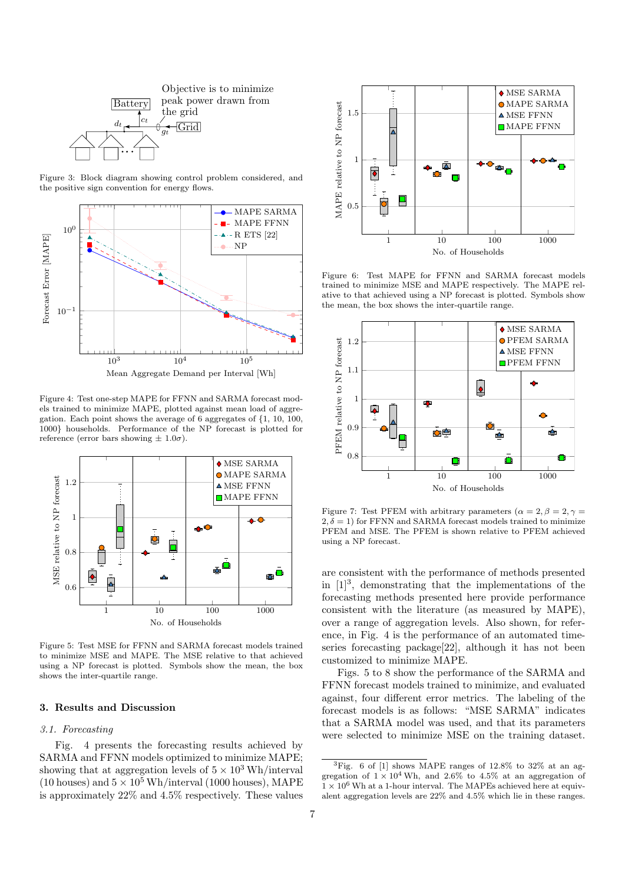

<span id="page-6-1"></span>Figure 3: Block diagram showing control problem considered, and the positive sign convention for energy flows.



<span id="page-6-2"></span>Figure 4: Test one-step MAPE for FFNN and SARMA forecast models trained to minimize MAPE, plotted against mean load of aggregation. Each point shows the average of  $6$  aggregates of  $\{1, 10, 100,$ 1000} households. Performance of the NP forecast is plotted for reference (error bars showing  $\pm 1.0\sigma$ ).



<span id="page-6-4"></span>Figure 5: Test MSE for FFNN and SARMA forecast models trained to minimize MSE and MAPE. The MSE relative to that achieved using a NP forecast is plotted. Symbols show the mean, the box shows the inter-quartile range.

## <span id="page-6-0"></span>3. Results and Discussion

#### 3.1. Forecasting

Fig. [4](#page-6-2) presents the forecasting results achieved by SARMA and FFNN models optimized to minimize MAPE; showing that at aggregation levels of  $5 \times 10^3$  Wh/interval (10 houses) and  $5 \times 10^5$  Wh/interval (1000 houses), MAPE is approximately 22% and 4.5% respectively. These values



Figure 6: Test MAPE for FFNN and SARMA forecast models trained to minimize MSE and MAPE respectively. The MAPE relative to that achieved using a NP forecast is plotted. Symbols show the mean, the box shows the inter-quartile range.



<span id="page-6-5"></span>Figure 7: Test PFEM with arbitrary parameters  $(\alpha = 2, \beta = 2, \gamma = 1)$  $2, \delta = 1$ ) for FFNN and SARMA forecast models trained to minimize PFEM and MSE. The PFEM is shown relative to PFEM achieved using a NP forecast.

are consistent with the performance of methods presented in  $[1]^3$  $[1]^3$  $[1]^3$ , demonstrating that the implementations of the forecasting methods presented here provide performance consistent with the literature (as measured by MAPE), over a range of aggregation levels. Also shown, for reference, in Fig. [4](#page-6-2) is the performance of an automated timeseries forecasting package[\[22\]](#page-9-21), although it has not been customized to minimize MAPE.

Figs. [5](#page-6-4) to [8](#page-7-0) show the performance of the SARMA and FFNN forecast models trained to minimize, and evaluated against, four different error metrics. The labeling of the forecast models is as follows: "MSE SARMA" indicates that a SARMA model was used, and that its parameters were selected to minimize MSE on the training dataset.

<span id="page-6-3"></span><sup>&</sup>lt;sup>3</sup>Fig. 6 of [\[1\]](#page-9-0) shows MAPE ranges of 12.8% to 32% at an aggregation of  $1 \times 10^4$  Wh, and  $2.6\%$  to  $4.5\%$  at an aggregation of  $1 \times 10^6$  Wh at a 1-hour interval. The MAPEs achieved here at equivalent aggregation levels are 22% and 4.5% which lie in these ranges.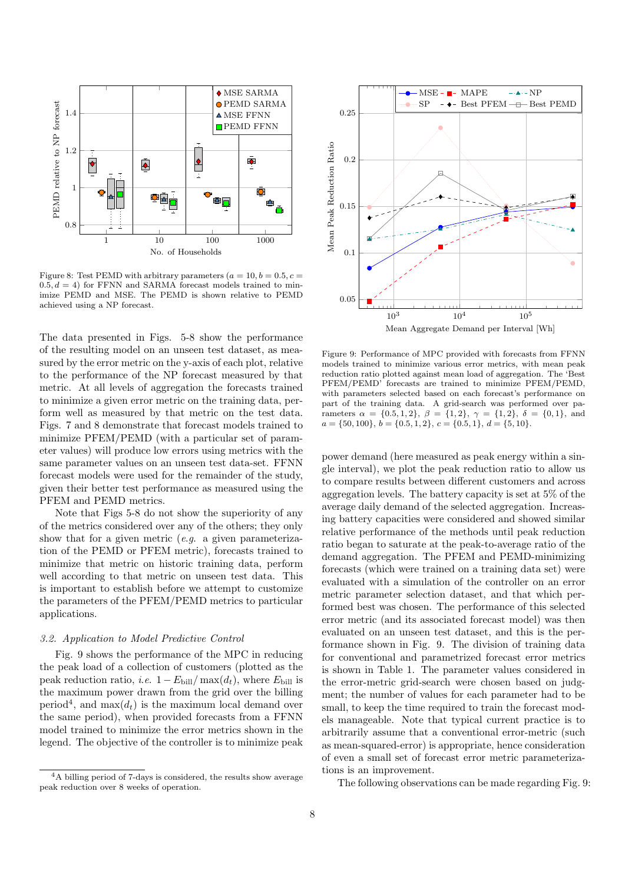

<span id="page-7-0"></span>Figure 8: Test PEMD with arbitrary parameters  $(a = 10, b = 0.5, c =$  $0.5, d = 4$ ) for FFNN and SARMA forecast models trained to minimize PEMD and MSE. The PEMD is shown relative to PEMD achieved using a NP forecast.

The data presented in Figs. [5-](#page-6-4)[8](#page-7-0) show the performance of the resulting model on an unseen test dataset, as measured by the error metric on the y-axis of each plot, relative to the performance of the NP forecast measured by that metric. At all levels of aggregation the forecasts trained to minimize a given error metric on the training data, perform well as measured by that metric on the test data. Figs. [7](#page-6-5) and [8](#page-7-0) demonstrate that forecast models trained to minimize PFEM/PEMD (with a particular set of parameter values) will produce low errors using metrics with the same parameter values on an unseen test data-set. FFNN forecast models were used for the remainder of the study, given their better test performance as measured using the PFEM and PEMD metrics.

Note that Figs [5-](#page-6-4)[8](#page-7-0) do not show the superiority of any of the metrics considered over any of the others; they only show that for a given metric *(e.g.* a given parameterization of the PEMD or PFEM metric), forecasts trained to minimize that metric on historic training data, perform well according to that metric on unseen test data. This is important to establish before we attempt to customize the parameters of the PFEM/PEMD metrics to particular applications.

## 3.2. Application to Model Predictive Control

Fig. [9](#page-7-1) shows the performance of the MPC in reducing the peak load of a collection of customers (plotted as the peak reduction ratio, *i.e.*  $1 - E_{\text{bill}} / \max(d_t)$ , where  $E_{\text{bill}}$  is the maximum power drawn from the grid over the billing period<sup>[4](#page-7-2)</sup>, and  $max(d_t)$  is the maximum local demand over the same period), when provided forecasts from a FFNN model trained to minimize the error metrics shown in the legend. The objective of the controller is to minimize peak



<span id="page-7-1"></span>Figure 9: Performance of MPC provided with forecasts from FFNN models trained to minimize various error metrics, with mean peak reduction ratio plotted against mean load of aggregation. The 'Best PFEM/PEMD' forecasts are trained to minimize PFEM/PEMD, with parameters selected based on each forecast's performance on part of the training data. A grid-search was performed over parameters  $\alpha = \{0.5, 1, 2\}, \ \beta = \{1, 2\}, \ \gamma = \{1, 2\}, \ \delta = \{0, 1\}, \$ and  $a = \{50, 100\}, b = \{0.5, 1, 2\}, c = \{0.5, 1\}, d = \{5, 10\}.$ 

power demand (here measured as peak energy within a single interval), we plot the peak reduction ratio to allow us to compare results between different customers and across aggregation levels. The battery capacity is set at 5% of the average daily demand of the selected aggregation. Increasing battery capacities were considered and showed similar relative performance of the methods until peak reduction ratio began to saturate at the peak-to-average ratio of the demand aggregation. The PFEM and PEMD-minimizing forecasts (which were trained on a training data set) were evaluated with a simulation of the controller on an error metric parameter selection dataset, and that which performed best was chosen. The performance of this selected error metric (and its associated forecast model) was then evaluated on an unseen test dataset, and this is the performance shown in Fig. [9.](#page-7-1) The division of training data for conventional and parametrized forecast error metrics is shown in Table [1.](#page-3-2) The parameter values considered in the error-metric grid-search were chosen based on judgment; the number of values for each parameter had to be small, to keep the time required to train the forecast models manageable. Note that typical current practice is to arbitrarily assume that a conventional error-metric (such as mean-squared-error) is appropriate, hence consideration of even a small set of forecast error metric parameterizations is an improvement.

The following observations can be made regarding Fig. [9:](#page-7-1)

<span id="page-7-2"></span> $^4\mathrm{A}$  billing period of 7-days is considered, the results show average peak reduction over 8 weeks of operation.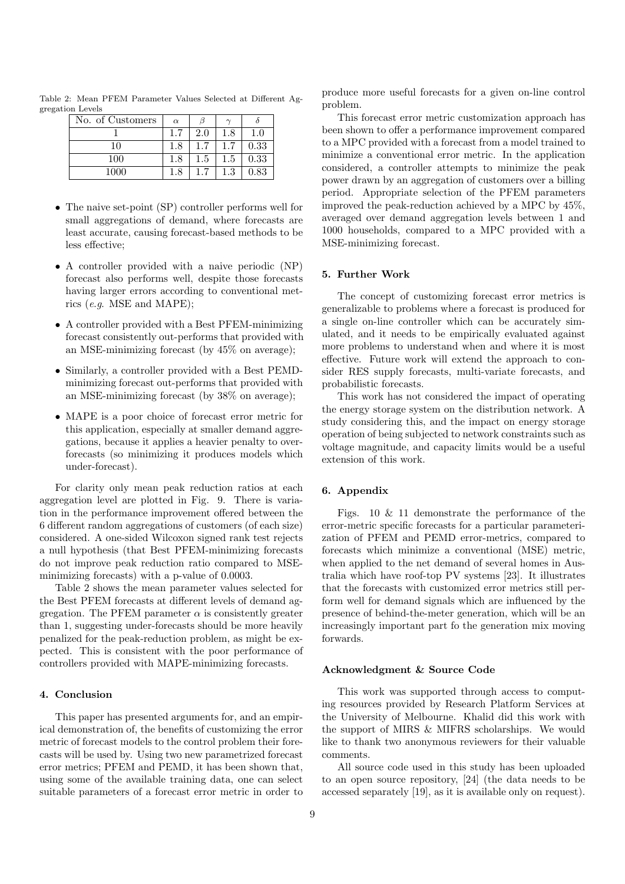<span id="page-8-1"></span>

| No. of Customers | $\alpha$ |     |         |          |
|------------------|----------|-----|---------|----------|
|                  |          | 2.0 | $1.8\,$ | $1.0\,$  |
| 10               |          |     |         | 0.33     |
| 100              | 1.8      | 1.5 | $1.5\,$ | 0.33     |
| 1000             |          |     | $1.3\,$ | $0.83\,$ |

Table 2: Mean PFEM Parameter Values Selected at Different Aggregation Levels

- The naive set-point (SP) controller performs well for small aggregations of demand, where forecasts are least accurate, causing forecast-based methods to be less effective;
- A controller provided with a naive periodic (NP) forecast also performs well, despite those forecasts having larger errors according to conventional metrics (e.g. MSE and MAPE);
- A controller provided with a Best PFEM-minimizing forecast consistently out-performs that provided with an MSE-minimizing forecast (by 45% on average);
- Similarly, a controller provided with a Best PEMDminimizing forecast out-performs that provided with an MSE-minimizing forecast (by 38% on average);
- MAPE is a poor choice of forecast error metric for this application, especially at smaller demand aggregations, because it applies a heavier penalty to overforecasts (so minimizing it produces models which under-forecast).

For clarity only mean peak reduction ratios at each aggregation level are plotted in Fig. [9.](#page-7-1) There is variation in the performance improvement offered between the 6 different random aggregations of customers (of each size) considered. A one-sided Wilcoxon signed rank test rejects a null hypothesis (that Best PFEM-minimizing forecasts do not improve peak reduction ratio compared to MSEminimizing forecasts) with a p-value of 0.0003.

Table [2](#page-8-1) shows the mean parameter values selected for the Best PFEM forecasts at different levels of demand aggregation. The PFEM parameter  $\alpha$  is consistently greater than 1, suggesting under-forecasts should be more heavily penalized for the peak-reduction problem, as might be expected. This is consistent with the poor performance of controllers provided with MAPE-minimizing forecasts.

## <span id="page-8-0"></span>4. Conclusion

This paper has presented arguments for, and an empirical demonstration of, the benefits of customizing the error metric of forecast models to the control problem their forecasts will be used by. Using two new parametrized forecast error metrics; PFEM and PEMD, it has been shown that, using some of the available training data, one can select suitable parameters of a forecast error metric in order to produce more useful forecasts for a given on-line control problem.

This forecast error metric customization approach has been shown to offer a performance improvement compared to a MPC provided with a forecast from a model trained to minimize a conventional error metric. In the application considered, a controller attempts to minimize the peak power drawn by an aggregation of customers over a billing period. Appropriate selection of the PFEM parameters improved the peak-reduction achieved by a MPC by 45%, averaged over demand aggregation levels between 1 and 1000 households, compared to a MPC provided with a MSE-minimizing forecast.

# 5. Further Work

The concept of customizing forecast error metrics is generalizable to problems where a forecast is produced for a single on-line controller which can be accurately simulated, and it needs to be empirically evaluated against more problems to understand when and where it is most effective. Future work will extend the approach to consider RES supply forecasts, multi-variate forecasts, and probabilistic forecasts.

This work has not considered the impact of operating the energy storage system on the distribution network. A study considering this, and the impact on energy storage operation of being subjected to network constraints such as voltage magnitude, and capacity limits would be a useful extension of this work.

## 6. Appendix

Figs. [10](#page-9-22) & [11](#page-9-23) demonstrate the performance of the error-metric specific forecasts for a particular parameterization of PFEM and PEMD error-metrics, compared to forecasts which minimize a conventional (MSE) metric, when applied to the net demand of several homes in Australia which have roof-top PV systems [\[23\]](#page-9-24). It illustrates that the forecasts with customized error metrics still perform well for demand signals which are influenced by the presence of behind-the-meter generation, which will be an increasingly important part fo the generation mix moving forwards.

## Acknowledgment & Source Code

This work was supported through access to computing resources provided by Research Platform Services at the University of Melbourne. Khalid did this work with the support of MIRS & MIFRS scholarships. We would like to thank two anonymous reviewers for their valuable comments.

All source code used in this study has been uploaded to an open source repository, [\[24\]](#page-9-25) (the data needs to be accessed separately [\[19\]](#page-9-18), as it is available only on request).